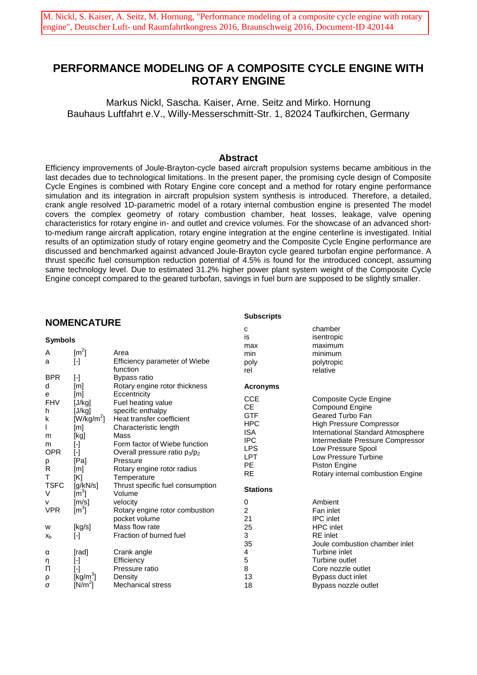M. Nickl, S. Kaiser, A. Seitz, M. Hornung, "Performance modeling of a composite cycle engine with rotary engine", Deutscher Luft- und Raumfahrtkongress 2016, Braunschweig 2016, Document-ID 420144

# **PERFORMANCE MODELING OF A COMPOSITE CYCLE ENGINE WITH ROTARY ENGINE**

Markus Nickl, Sascha. Kaiser, Arne. Seitz and Mirko. Hornung Bauhaus Luftfahrt e.V., Willy-Messerschmitt-Str. 1, 82024 Taufkirchen, Germany

#### **Abstract**

Efficiency improvements of Joule-Brayton-cycle based aircraft propulsion systems became ambitious in the last decades due to technological limitations. In the present paper, the promising cycle design of Composite Cycle Engines is combined with Rotary Engine core concept and a method for rotary engine performance simulation and its integration in aircraft propulsion system synthesis is introduced. Therefore, a detailed, crank angle resolved 1D-parametric model of a rotary internal combustion engine is presented The model covers the complex geometry of rotary combustion chamber, heat losses, leakage, valve opening characteristics for rotary engine in- and outlet and crevice volumes. For the showcase of an advanced shortto-medium range aircraft application, rotary engine integration at the engine centerline is investigated. Initial results of an optimization study of rotary engine geometry and the Composite Cycle Engine performance are discussed and benchmarked against advanced Joule-Brayton cycle geared turbofan engine performance. A thrust specific fuel consumption reduction potential of 4.5% is found for the introduced concept, assuming same technology level. Due to estimated 31.2% higher power plant system weight of the Composite Cycle Engine concept compared to the geared turbofan, savings in fuel burn are supposed to be slightly smaller.

# **NOMENCATURE**

### **Subscripts**

|                  | <b>NOMENCAIURE</b>           |                                            | с               | chamber                                                               |
|------------------|------------------------------|--------------------------------------------|-----------------|-----------------------------------------------------------------------|
|                  |                              |                                            | is              | isentropic                                                            |
| <b>Symbols</b>   |                              |                                            | max             | maximum                                                               |
| Α                | $\text{[m}^2\text{]}$        | Area                                       | min             | minimum                                                               |
| a                | $[\cdot]$                    | Efficiency parameter of Wiebe              | poly            | polytropic                                                            |
|                  |                              | function                                   | rel             | relative                                                              |
| <b>BPR</b>       | $[\cdot]$                    | Bypass ratio                               |                 |                                                                       |
| d                | [m]                          | Rotary engine rotor thickness              | <b>Acronyms</b> |                                                                       |
| е                | [m]                          | Eccentricity                               | <b>CCE</b>      |                                                                       |
| <b>FHV</b>       | [J/kg]                       | Fuel heating value                         | <b>CE</b>       | Composite Cycle Engine                                                |
| h                | [J/kg]                       | specific enthalpy                          | <b>GTF</b>      | <b>Compound Engine</b><br>Geared Turbo Fan                            |
| k                | [W/kg/m <sup>2</sup> ]       | Heat transfer coefficient                  | <b>HPC</b>      |                                                                       |
| I                | [m]                          | Characteristic length                      | <b>ISA</b>      | <b>High Pressure Compressor</b>                                       |
| m                | [kg]                         | Mass                                       | <b>IPC</b>      | International Standard Atmosphere<br>Intermediate Pressure Compressor |
| m                | $[\cdot]$                    | Form factor of Wiebe function              | <b>LPS</b>      |                                                                       |
| <b>OPR</b>       | $[\cdot]$                    | Overall pressure ratio $p_3/p_2$           | <b>LPT</b>      | Low Pressure Spool<br>Low Pressure Turbine                            |
| р                | [Pa]                         | Pressure                                   | <b>PE</b>       | Piston Engine                                                         |
| $\mathsf R$      | [m]                          | Rotary engine rotor radius                 | <b>RE</b>       | Rotary internal combustion Engine                                     |
| T                | [K]                          | Temperature                                |                 |                                                                       |
| <b>TSFC</b><br>V | [g/kN/s]<br>$\mathsf{[m^3]}$ | Thrust specific fuel consumption<br>Volume | <b>Stations</b> |                                                                       |
| v                | $\lceil m/s \rceil$          | velocity                                   | 0               | Ambient                                                               |
| <b>VPR</b>       | $\mathrm{[m^3]}$             | Rotary engine rotor combustion             | $\overline{2}$  | Fan inlet                                                             |
|                  |                              | pocket volume                              | 21              | <b>IPC</b> inlet                                                      |
| W                | [kg/s]                       | Mass flow rate                             | 25              | <b>HPC</b> inlet                                                      |
| x <sub>b</sub>   | $[\cdot]$                    | Fraction of burned fuel                    | 3               | <b>RE</b> inlet                                                       |
|                  |                              |                                            | 35              | Joule combustion chamber inlet                                        |
| α                | [rad]                        | Crank angle                                | 4               | Turbine inlet                                                         |
| η                | [-]                          | Efficiency                                 | 5               | Turbine outlet                                                        |
| П                | $[\cdot]$                    | Pressure ratio                             | 8               | Core nozzle outlet                                                    |
| ρ                | [kg/m <sup>3</sup> ]         | Density                                    | 13              | Bypass duct inlet                                                     |
| σ                | [N/m <sup>2</sup> ]          | Mechanical stress                          | 18              | Bypass nozzle outlet                                                  |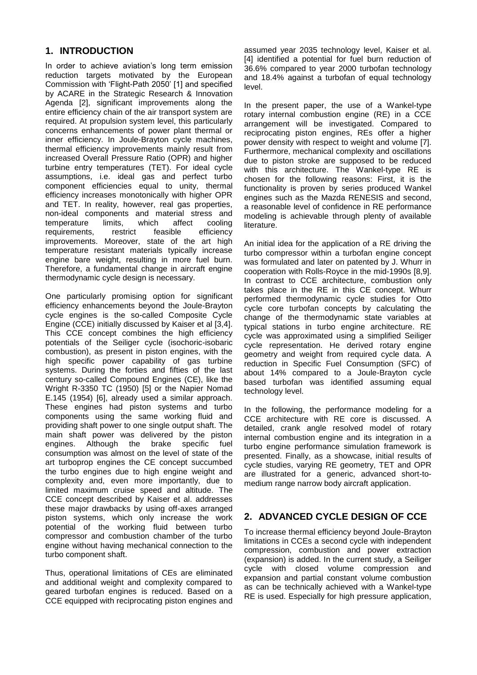# **1. INTRODUCTION**

In order to achieve aviation's long term emission reduction targets motivated by the European Commission with "Flight-Path 2050" [1] and specified by ACARE in the Strategic Research & Innovation Agenda [2], significant improvements along the entire efficiency chain of the air transport system are required. At propulsion system level, this particularly concerns enhancements of power plant thermal or inner efficiency. In Joule-Brayton cycle machines, thermal efficiency improvements mainly result from increased Overall Pressure Ratio (OPR) and higher turbine entry temperatures (TET). For ideal cycle assumptions, i.e. ideal gas and perfect turbo component efficiencies equal to unity, thermal efficiency increases monotonically with higher OPR and TET. In reality, however, real gas properties, non-ideal components and material stress and temperature limits, which affect cooling requirements, restrict feasible efficiency improvements. Moreover, state of the art high temperature resistant materials typically increase engine bare weight, resulting in more fuel burn. Therefore, a fundamental change in aircraft engine thermodynamic cycle design is necessary.

One particularly promising option for significant efficiency enhancements beyond the Joule-Brayton cycle engines is the so-called Composite Cycle Engine (CCE) initially discussed by Kaiser et al [3,4]. This CCE concept combines the high efficiency potentials of the Seiliger cycle (isochoric-isobaric combustion), as present in piston engines, with the high specific power capability of gas turbine systems. During the forties and fifties of the last century so-called Compound Engines (CE), like the Wright R-3350 TC (1950) [5] or the Napier Nomad E.145 (1954) [6], already used a similar approach. These engines had piston systems and turbo components using the same working fluid and providing shaft power to one single output shaft. The main shaft power was delivered by the piston engines. Although the brake specific fuel consumption was almost on the level of state of the art turboprop engines the CE concept succumbed the turbo engines due to high engine weight and complexity and, even more importantly, due to limited maximum cruise speed and altitude. The CCE concept described by Kaiser et al. addresses these major drawbacks by using off-axes arranged piston systems, which only increase the work potential of the working fluid between turbo compressor and combustion chamber of the turbo engine without having mechanical connection to the turbo component shaft.

Thus, operational limitations of CEs are eliminated and additional weight and complexity compared to geared turbofan engines is reduced. Based on a CCE equipped with reciprocating piston engines and assumed year 2035 technology level, Kaiser et al. [4] identified a potential for fuel burn reduction of 36.6% compared to year 2000 turbofan technology and 18.4% against a turbofan of equal technology level.

In the present paper, the use of a Wankel-type rotary internal combustion engine (RE) in a CCE arrangement will be investigated. Compared to reciprocating piston engines, REs offer a higher power density with respect to weight and volume [7]. Furthermore, mechanical complexity and oscillations due to piston stroke are supposed to be reduced with this architecture. The Wankel-type RE is chosen for the following reasons: First, it is the functionality is proven by series produced Wankel engines such as the Mazda RENESIS and second, a reasonable level of confidence in RE performance modeling is achievable through plenty of available literature.

An initial idea for the application of a RE driving the turbo compressor within a turbofan engine concept was formulated and later on patented by J. Whurr in cooperation with Rolls-Royce in the mid-1990s [8,9]. In contrast to CCE architecture, combustion only takes place in the RE in this CE concept. Whurr performed thermodynamic cycle studies for Otto cycle core turbofan concepts by calculating the change of the thermodynamic state variables at typical stations in turbo engine architecture. RE cycle was approximated using a simplified Seiliger cycle representation. He derived rotary engine geometry and weight from required cycle data. A reduction in Specific Fuel Consumption (SFC) of about 14% compared to a Joule-Brayton cycle based turbofan was identified assuming equal technology level.

In the following, the performance modeling for a CCE architecture with RE core is discussed. A detailed, crank angle resolved model of rotary internal combustion engine and its integration in a turbo engine performance simulation framework is presented. Finally, as a showcase, initial results of cycle studies, varying RE geometry, TET and OPR are illustrated for a generic, advanced short-tomedium range narrow body aircraft application.

# **2. ADVANCED CYCLE DESIGN OF CCE**

To increase thermal efficiency beyond Joule-Brayton limitations in CCEs a second cycle with independent compression, combustion and power extraction (expansion) is added. In the current study, a Seiliger cycle with closed volume compression and expansion and partial constant volume combustion as can be technically achieved with a Wankel-type RE is used. Especially for high pressure application,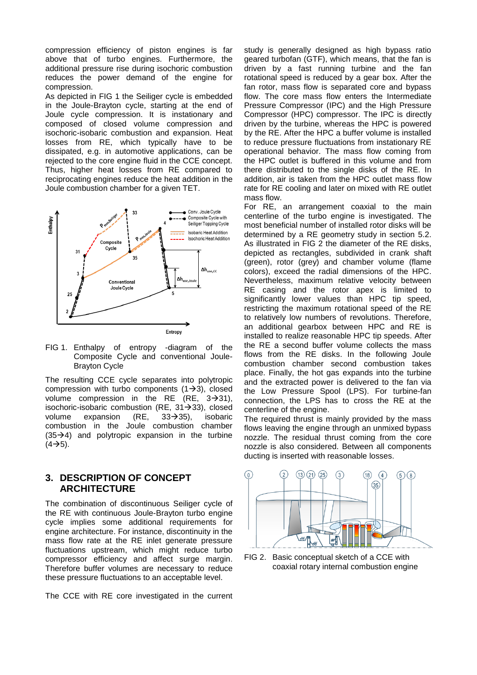compression efficiency of piston engines is far above that of turbo engines. Furthermore, the additional pressure rise during isochoric combustion reduces the power demand of the engine for compression.

As depicted in FIG 1 the Seiliger cycle is embedded in the Joule-Brayton cycle, starting at the end of Joule cycle compression. It is instationary and composed of closed volume compression and isochoric-isobaric combustion and expansion. Heat losses from RE, which typically have to be dissipated, e.g. in automotive applications, can be rejected to the core engine fluid in the CCE concept. Thus, higher heat losses from RE compared to reciprocating engines reduce the heat addition in the Joule combustion chamber for a given TET.



FIG 1. Enthalpy of entropy -diagram of the Composite Cycle and conventional Joule-Brayton Cycle

The resulting CCE cycle separates into polytropic compression with turbo components  $(1\rightarrow 3)$ , closed volume compression in the RE (RE,  $3\rightarrow 31$ ), isochoric-isobaric combustion (RE,  $31\rightarrow 33$ ), closed volume expansion (RE,  $33\rightarrow 35$ ), isobaric combustion in the Joule combustion chamber  $(35\rightarrow 4)$  and polytropic expansion in the turbine  $(4\rightarrow 5)$ .

## **3. DESCRIPTION OF CONCEPT ARCHITECTURE**

The combination of discontinuous Seiliger cycle of the RE with continuous Joule-Brayton turbo engine cycle implies some additional requirements for engine architecture. For instance, discontinuity in the mass flow rate at the RE inlet generate pressure fluctuations upstream, which might reduce turbo compressor efficiency and affect surge margin. Therefore buffer volumes are necessary to reduce these pressure fluctuations to an acceptable level.

The CCE with RE core investigated in the current

study is generally designed as high bypass ratio geared turbofan (GTF), which means, that the fan is driven by a fast running turbine and the fan rotational speed is reduced by a gear box. After the fan rotor, mass flow is separated core and bypass flow. The core mass flow enters the Intermediate Pressure Compressor (IPC) and the High Pressure Compressor (HPC) compressor. The IPC is directly driven by the turbine, whereas the HPC is powered by the RE. After the HPC a buffer volume is installed to reduce pressure fluctuations from instationary RE operational behavior. The mass flow coming from the HPC outlet is buffered in this volume and from there distributed to the single disks of the RE. In addition, air is taken from the HPC outlet mass flow rate for RE cooling and later on mixed with RE outlet mass flow.

For RE, an arrangement coaxial to the main centerline of the turbo engine is investigated. The most beneficial number of installed rotor disks will be determined by a RE geometry study in section 5.2. As illustrated in FIG 2 the diameter of the RE disks, depicted as rectangles, subdivided in crank shaft (green), rotor (grey) and chamber volume (flame colors), exceed the radial dimensions of the HPC. Nevertheless, maximum relative velocity between RE casing and the rotor apex is limited to significantly lower values than HPC tip speed, restricting the maximum rotational speed of the RE to relatively low numbers of revolutions. Therefore, an additional gearbox between HPC and RE is installed to realize reasonable HPC tip speeds. After the RE a second buffer volume collects the mass flows from the RE disks. In the following Joule combustion chamber second combustion takes place. Finally, the hot gas expands into the turbine and the extracted power is delivered to the fan via the Low Pressure Spool (LPS). For turbine-fan connection, the LPS has to cross the RE at the centerline of the engine.

The required thrust is mainly provided by the mass flows leaving the engine through an unmixed bypass nozzle. The residual thrust coming from the core nozzle is also considered. Between all components ducting is inserted with reasonable losses.



FIG 2. Basic conceptual sketch of a CCE with coaxial rotary internal combustion engine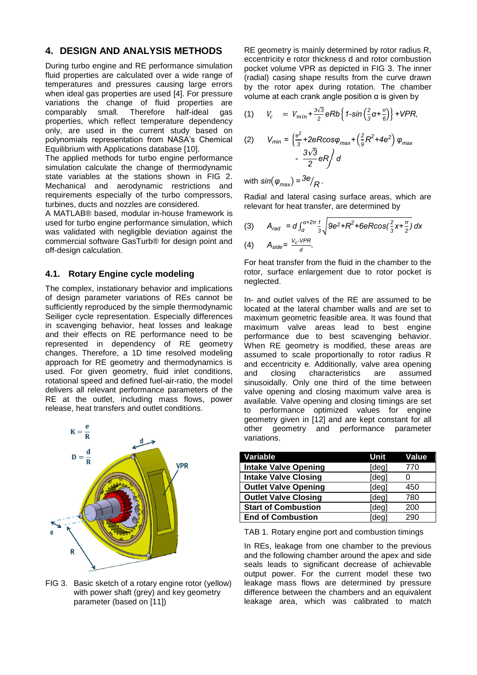## **4. DESIGN AND ANALYSIS METHODS**

During turbo engine and RE performance simulation fluid properties are calculated over a wide range of temperatures and pressures causing large errors when ideal gas properties are used [4]. For pressure variations the change of fluid properties are comparably small. Therefore half-ideal gas properties, which reflect temperature dependency only, are used in the current study based on polynomials representation from NASA"s Chemical Equilibrium with Applications database [10].

The applied methods for turbo engine performance simulation calculate the change of thermodynamic state variables at the stations shown in FIG 2. Mechanical and aerodynamic restrictions and requirements especially of the turbo compressors, turbines, ducts and nozzles are considered.

A MATLAB® based, modular in-house framework is used for turbo engine performance simulation, which was validated with negligible deviation against the commercial software GasTurb® for design point and off-design calculation.

### **4.1. Rotary Engine cycle modeling**

The complex, instationary behavior and implications of design parameter variations of REs cannot be sufficiently reproduced by the simple thermodynamic Seiliger cycle representation. Especially differences in scavenging behavior, heat losses and leakage and their effects on RE performance need to be represented in dependency of RE geometry changes. Therefore, a 1D time resolved modeling approach for RE geometry and thermodynamics is used. For given geometry, fluid inlet conditions, rotational speed and defined fuel-air-ratio, the model delivers all relevant performance parameters of the RE at the outlet, including mass flows, power release, heat transfers and outlet conditions.



FIG 3. Basic sketch of a rotary engine rotor (yellow) with power shaft (grey) and key geometry parameter (based on [11])

RE geometry is mainly determined by rotor radius R, eccentricity e rotor thickness d and rotor combustion pocket volume VPR as depicted in FIG 3. The inner (radial) casing shape results from the curve drawn by the rotor apex during rotation. The chamber volume at each crank angle position α is given by

(1) 
$$
V_c = V_{min} + \frac{3\sqrt{3}}{2} eRb \left\{ 1 \text{-}sin\left(\frac{2}{3}\alpha + \frac{\pi}{6}\right) \right\} + VPR,
$$

(2) 
$$
V_{min} = \left\{\frac{e^2}{3} + 2eR\cos\varphi_{max} + \left(\frac{2}{9}R^2 + 4e^2\right)\varphi_{max} - \frac{3\sqrt{3}}{2}eR\right\}d
$$

with  $sin(\varphi_{max}) = \frac{3e}{R}$ .

Radial and lateral casing surface areas, which are relevant for heat transfer, are determined by

(3) 
$$
A_{rad} = d \int_{\alpha}^{\alpha + 2\pi} \frac{1}{3} \sqrt{9e^2 + R^2 + 6eR\cos(\frac{2}{3}x + \frac{\pi}{2})} dx
$$
  
(4)  $A_{side} = \frac{V_c - VPR}{d}$ .

For heat transfer from the fluid in the chamber to the rotor, surface enlargement due to rotor pocket is neglected.

In- and outlet valves of the RE are assumed to be located at the lateral chamber walls and are set to maximum geometric feasible area. It was found that maximum valve areas lead to best engine performance due to best scavenging behavior. When RE geometry is modified, these areas are assumed to scale proportionally to rotor radius R and eccentricity e. Additionally, valve area opening and closing characteristics are assumed sinusoidally. Only one third of the time between valve opening and closing maximum valve area is available. Valve opening and closing timings are set to performance optimized values for engine geometry given in [12] and are kept constant for all other geometry and performance parameter variations.

| <b>Variable</b>             | Unit  | Value |
|-----------------------------|-------|-------|
| <b>Intake Valve Opening</b> | [deg] | 770   |
| <b>Intake Valve Closing</b> | [deg] |       |
| <b>Outlet Valve Opening</b> | [deg] | 450   |
| <b>Outlet Valve Closing</b> | [deg] | 780   |
| <b>Start of Combustion</b>  | [deg] | 200   |
| <b>End of Combustion</b>    | [deg] | 290   |

TAB 1. Rotary engine port and combustion timings

In REs, leakage from one chamber to the previous and the following chamber around the apex and side seals leads to significant decrease of achievable output power. For the current model these two leakage mass flows are determined by pressure difference between the chambers and an equivalent leakage area, which was calibrated to match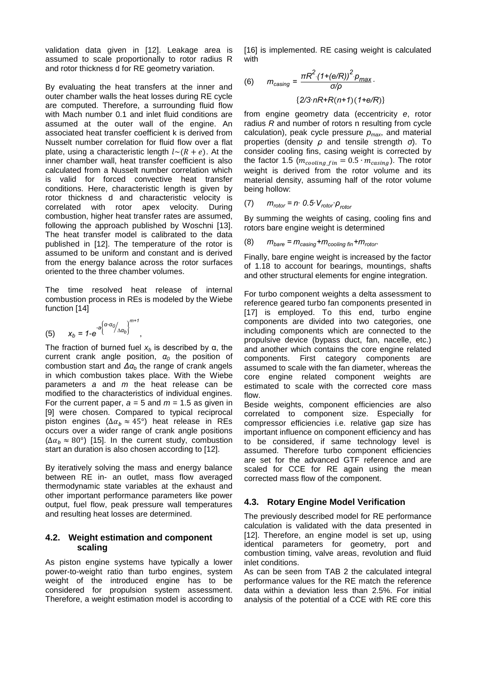validation data given in [12]. Leakage area is assumed to scale proportionally to rotor radius R and rotor thickness d for RE geometry variation.

By evaluating the heat transfers at the inner and outer chamber walls the heat losses during RE cycle are computed. Therefore, a surrounding fluid flow with Mach number 0.1 and inlet fluid conditions are assumed at the outer wall of the engine. An associated heat transfer coefficient k is derived from Nusselt number correlation for fluid flow over a flat plate, using a characteristic length  $l \sim (R + e)$ . At the inner chamber wall, heat transfer coefficient is also calculated from a Nusselt number correlation which is valid for forced convective heat transfer conditions. Here, characteristic length is given by rotor thickness d and characteristic velocity is correlated with rotor apex velocity. During combustion, higher heat transfer rates are assumed, following the approach published by Woschni [13]. The heat transfer model is calibrated to the data published in [12]. The temperature of the rotor is assumed to be uniform and constant and is derived from the energy balance across the rotor surfaces oriented to the three chamber volumes.

The time resolved heat release of internal combustion process in REs is modeled by the Wiebe function [14]

(5) 
$$
x_b = 1 - e^{-a\left(\frac{\alpha - \alpha_0}{\Delta \alpha_b}\right)^{m+1}},
$$

The fraction of burned fuel  $x_b$  is described by  $\alpha$ , the current crank angle position,  $\alpha_0$  the position of combustion start and  $\Delta \alpha_b$  the range of crank angels in which combustion takes place. With the Wiebe parameters *a* and *m* the heat release can be modified to the characteristics of individual engines. For the current paper,  $a = 5$  and  $m = 1.5$  as given in [9] were chosen. Compared to typical reciprocal piston engines ( $\Delta \alpha_h \approx 45^{\circ}$ ) heat release in REs occurs over a wider range of crank angle positions  $(\Delta \alpha_h \approx 80^\circ)$  [15]. In the current study, combustion start an duration is also chosen according to [12].

By iteratively solving the mass and energy balance between RE in- an outlet, mass flow averaged thermodynamic state variables at the exhaust and other important performance parameters like power output, fuel flow, peak pressure wall temperatures and resulting heat losses are determined.

### **4.2. Weight estimation and component scaling**

As piston engine systems have typically a lower power-to-weight ratio than turbo engines, system weight of the introduced engine has to be considered for propulsion system assessment. Therefore, a weight estimation model is according to [16] is implemented. RE casing weight is calculated with

(6) 
$$
m_{casing} = \frac{\pi R^2 (1 + (e/R))^2 p_{max}}{\sigma / \rho}.
$$

$$
\{2/3 \cdot nR + R(n+1)(1 + e/R)\}
$$

from engine geometry data (eccentricity *e*, rotor radius *R* and number of rotors n resulting from cycle calculation), peak cycle pressure *pmax*, and material properties (density  $\rho$  and tensile strength  $\sigma$ ). To consider cooling fins, casing weight is corrected by the factor 1.5 ( $m_{cooling\,fin} = 0.5 \cdot m_{casina}$ ). The rotor weight is derived from the rotor volume and its material density, assuming half of the rotor volume being hollow:

(7) 
$$
m_{rotor} = n \cdot 0.5 \cdot V_{rotor} \cdot \rho_{rotor}
$$

By summing the weights of casing, cooling fins and rotors bare engine weight is determined

(8) 
$$
m_{bare} = m_{casing} + m_{cooling fin} + m_{rotor}
$$
.

Finally, bare engine weight is increased by the factor of 1.18 to account for bearings, mountings, shafts and other structural elements for engine integration.

For turbo component weights a delta assessment to reference geared turbo fan components presented in [17] is employed. To this end, turbo engine components are divided into two categories, one including components which are connected to the propulsive device (bypass duct, fan, nacelle, etc.) and another which contains the core engine related components. First category components are assumed to scale with the fan diameter, whereas the core engine related component weights are estimated to scale with the corrected core mass flow.

Beside weights, component efficiencies are also correlated to component size. Especially for compressor efficiencies i.e. relative gap size has important influence on component efficiency and has to be considered, if same technology level is assumed. Therefore turbo component efficiencies are set for the advanced GTF reference and are scaled for CCE for RE again using the mean corrected mass flow of the component.

# **4.3. Rotary Engine Model Verification**

The previously described model for RE performance calculation is validated with the data presented in [12]. Therefore, an engine model is set up, using identical parameters for geometry, port and combustion timing, valve areas, revolution and fluid inlet conditions.

As can be seen from TAB 2 the calculated integral performance values for the RE match the reference data within a deviation less than 2.5%. For initial analysis of the potential of a CCE with RE core this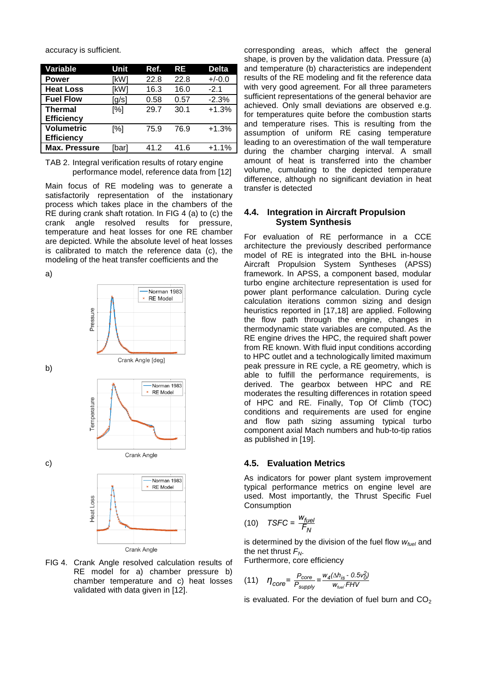accuracy is sufficient.

| Variable             | Unit  | Ref. | RE   | <b>Delta</b> |
|----------------------|-------|------|------|--------------|
| <b>Power</b>         | [kW]  | 22.8 | 22.8 | $+/-0.0$     |
| <b>Heat Loss</b>     | [kW]  | 16.3 | 16.0 | $-2.1$       |
| <b>Fuel Flow</b>     | [g/s] | 0.58 | 0.57 | $-2.3%$      |
| <b>Thermal</b>       | [%]   | 29.7 | 30.1 | $+1.3%$      |
| <b>Efficiency</b>    |       |      |      |              |
| <b>Volumetric</b>    | [%]   | 75.9 | 76.9 | $+1.3%$      |
| <b>Efficiency</b>    |       |      |      |              |
| <b>Max. Pressure</b> | [bar] | 41.2 | 41.6 | $+1.1%$      |

TAB 2. Integral verification results of rotary engine performance model, reference data from [12]

Main focus of RE modeling was to generate a satisfactorily representation of the instationary process which takes place in the chambers of the RE during crank shaft rotation. In FIG 4 (a) to (c) the crank angle resolved results for pressure, temperature and heat losses for one RE chamber are depicted. While the absolute level of heat losses is calibrated to match the reference data (c), the modeling of the heat transfer coefficients and the

a)

b)

c)



FIG 4. Crank Angle resolved calculation results of RE model for a) chamber pressure b) chamber temperature and c) heat losses validated with data given in [12].

corresponding areas, which affect the general shape, is proven by the validation data. Pressure (a) and temperature (b) characteristics are independent results of the RE modeling and fit the reference data with very good agreement. For all three parameters sufficient representations of the general behavior are achieved. Only small deviations are observed e.g. for temperatures quite before the combustion starts and temperature rises. This is resulting from the assumption of uniform RE casing temperature leading to an overestimation of the wall temperature during the chamber charging interval. A small amount of heat is transferred into the chamber volume, cumulating to the depicted temperature difference, although no significant deviation in heat transfer is detected

#### **4.4. Integration in Aircraft Propulsion System Synthesis**

For evaluation of RE performance in a CCE architecture the previously described performance model of RE is integrated into the BHL in-house Aircraft Propulsion System Syntheses (APSS) framework. In APSS, a component based, modular turbo engine architecture representation is used for power plant performance calculation. During cycle calculation iterations common sizing and design heuristics reported in [17,18] are applied. Following the flow path through the engine, changes in thermodynamic state variables are computed. As the RE engine drives the HPC, the required shaft power from RE known. With fluid input conditions according to HPC outlet and a technologically limited maximum peak pressure in RE cycle, a RE geometry, which is able to fulfill the performance requirements, is derived. The gearbox between HPC and RE moderates the resulting differences in rotation speed of HPC and RE. Finally, Top Of Climb (TOC) conditions and requirements are used for engine and flow path sizing assuming typical turbo component axial Mach numbers and hub-to-tip ratios as published in [19].

### **4.5. Evaluation Metrics**

As indicators for power plant system improvement typical performance metrics on engine level are used. Most importantly, the Thrust Specific Fuel Consumption

$$
(10) \quad TSFC = \frac{W_{fuel}}{F_N}
$$

is determined by the division of the fuel flow *wfuel* and the net thrust *FN*.

Furthermore, core efficiency

(11) 
$$
\eta_{\text{core}} = \frac{P_{\text{core}}}{P_{\text{supply}}} = \frac{w_4(\Delta h_{is} - 0.5v_0^2)}{w_{\text{fuel}}/FHV}
$$

is evaluated. For the deviation of fuel burn and  $CO<sub>2</sub>$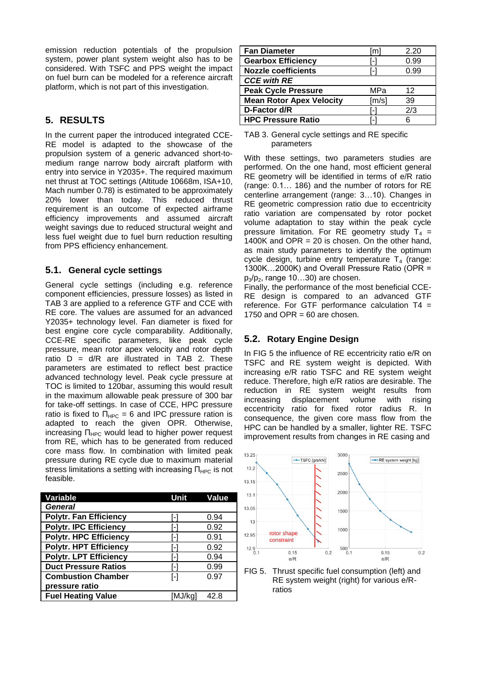emission reduction potentials of the propulsion system, power plant system weight also has to be considered. With TSFC and PPS weight the impact on fuel burn can be modeled for a reference aircraft platform, which is not part of this investigation.

# **5. RESULTS**

In the current paper the introduced integrated CCE-RE model is adapted to the showcase of the propulsion system of a generic advanced short-tomedium range narrow body aircraft platform with entry into service in Y2035+. The required maximum net thrust at TOC settings (Altitude 10668m, ISA+10, Mach number 0.78) is estimated to be approximately 20% lower than today. This reduced thrust requirement is an outcome of expected airframe efficiency improvements and assumed aircraft weight savings due to reduced structural weight and less fuel weight due to fuel burn reduction resulting from PPS efficiency enhancement.

## **5.1. General cycle settings**

General cycle settings (including e.g. reference component efficiencies, pressure losses) as listed in TAB 3 are applied to a reference GTF and CCE with RE core. The values are assumed for an advanced Y2035+ technology level. Fan diameter is fixed for best engine core cycle comparability. Additionally, CCE-RE specific parameters, like peak cycle pressure, mean rotor apex velocity and rotor depth ratio  $D = d/R$  are illustrated in TAB 2. These parameters are estimated to reflect best practice advanced technology level. Peak cycle pressure at TOC is limited to 120bar, assuming this would result in the maximum allowable peak pressure of 300 bar for take-off settings. In case of CCE, HPC pressure ratio is fixed to  $\Pi_{\text{HPC}} = 6$  and IPC pressure ration is adapted to reach the given OPR. Otherwise, increasing  $\Pi_{\text{HPC}}$  would lead to higher power request from RE, which has to be generated from reduced core mass flow. In combination with limited peak pressure during RE cycle due to maximum material stress limitations a setting with increasing  $\Pi_{HPC}$  is not feasible.

| Variable                      | Unit         | <b>Value</b> |
|-------------------------------|--------------|--------------|
| <b>General</b>                |              |              |
| <b>Polytr. Fan Efficiency</b> |              | 0.94         |
| <b>Polytr. IPC Efficiency</b> | ы            | 0.92         |
| <b>Polytr. HPC Efficiency</b> | l-l          | 0.91         |
| <b>Polytr. HPT Efficiency</b> | l-l          | 0.92         |
| <b>Polytr. LPT Efficiency</b> | l-l          | 0.94         |
| <b>Duct Pressure Ratios</b>   | l-l          | 0.99         |
| <b>Combustion Chamber</b>     | $\mathsf{F}$ | 0.97         |
| pressure ratio                |              |              |
| <b>Fuel Heating Value</b>     | [MJ/ka]      | 42.8         |

| <b>Fan Diameter</b>             | [m    | 2.20 |
|---------------------------------|-------|------|
| <b>Gearbox Efficiency</b>       | l-l   | 0.99 |
| <b>Nozzle coefficients</b>      | ĿГ    | 0.99 |
| <b>CCE with RE</b>              |       |      |
|                                 |       |      |
| <b>Peak Cycle Pressure</b>      | MPa   | 12   |
| <b>Mean Rotor Apex Velocity</b> | [m/s] | 39   |
| D-Factor d/R                    | ы     | 2/3  |
| <b>HPC Pressure Ratio</b>       |       |      |

TAB 3. General cycle settings and RE specific parameters

With these settings, two parameters studies are performed. On the one hand, most efficient general RE geometry will be identified in terms of e/R ratio (range: 0.1… 186) and the number of rotors for RE centerline arrangement (range: 3…10). Changes in RE geometric compression ratio due to eccentricity ratio variation are compensated by rotor pocket volume adaptation to stay within the peak cycle pressure limitation. For RE geometry study  $T_4$  = 1400K and OPR  $= 20$  is chosen. On the other hand, as main study parameters to identify the optimum cycle design, turbine entry temperature  $T_4$  (range: 1300K…2000K) and Overall Pressure Ratio (OPR =  $p_3/p_2$ , range 10...30) are chosen.

Finally, the performance of the most beneficial CCE-RE design is compared to an advanced GTF reference. For GTF performance calculation T4 = 1750 and OPR  $= 60$  are chosen.

# **5.2. Rotary Engine Design**

In FIG 5 the influence of RE eccentricity ratio e/R on TSFC and RE system weight is depicted. With increasing e/R ratio TSFC and RE system weight reduce. Therefore, high e/R ratios are desirable. The reduction in RE system weight results from increasing displacement volume with rising eccentricity ratio for fixed rotor radius R. In consequence, the given core mass flow from the HPC can be handled by a smaller, lighter RE. TSFC improvement results from changes in RE casing and



FIG 5. Thrust specific fuel consumption (left) and RE system weight (right) for various e/Rratios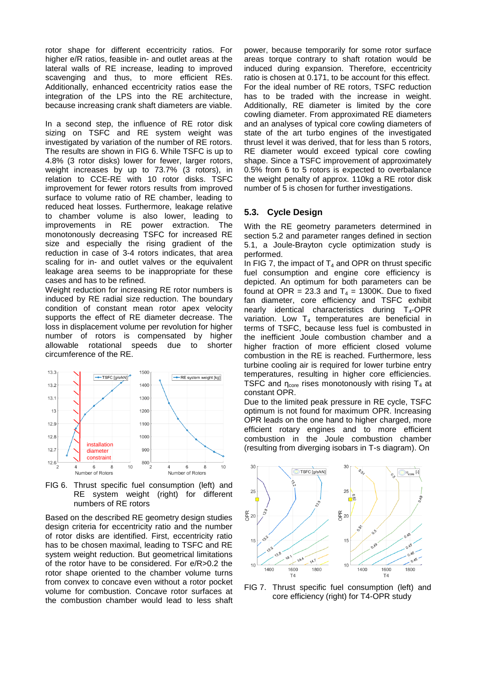rotor shape for different eccentricity ratios. For higher e/R ratios, feasible in- and outlet areas at the lateral walls of RE increase, leading to improved scavenging and thus, to more efficient REs. Additionally, enhanced eccentricity ratios ease the integration of the LPS into the RE architecture, because increasing crank shaft diameters are viable.

In a second step, the influence of RE rotor disk sizing on TSFC and RE system weight was investigated by variation of the number of RE rotors. The results are shown in FIG 6. While TSFC is up to 4.8% (3 rotor disks) lower for fewer, larger rotors, weight increases by up to 73.7% (3 rotors), in relation to CCE-RE with 10 rotor disks. TSFC improvement for fewer rotors results from improved surface to volume ratio of RE chamber, leading to reduced heat losses. Furthermore, leakage relative to chamber volume is also lower, leading to improvements in RE power extraction. The monotonously decreasing TSFC for increased RE size and especially the rising gradient of the reduction in case of 3-4 rotors indicates, that area scaling for in- and outlet valves or the equivalent leakage area seems to be inappropriate for these cases and has to be refined.

Weight reduction for increasing RE rotor numbers is induced by RE radial size reduction. The boundary condition of constant mean rotor apex velocity supports the effect of RE diameter decrease. The loss in displacement volume per revolution for higher number of rotors is compensated by higher allowable rotational speeds due to shorter circumference of the RE.



FIG 6. Thrust specific fuel consumption (left) and RE system weight (right) for different numbers of RE rotors

Based on the described RE geometry design studies design criteria for eccentricity ratio and the number of rotor disks are identified. First, eccentricity ratio has to be chosen maximal, leading to TSFC and RE system weight reduction. But geometrical limitations of the rotor have to be considered. For e/R>0.2 the rotor shape oriented to the chamber volume turns from convex to concave even without a rotor pocket volume for combustion. Concave rotor surfaces at the combustion chamber would lead to less shaft

power, because temporarily for some rotor surface areas torque contrary to shaft rotation would be induced during expansion. Therefore, eccentricity ratio is chosen at 0.171, to be account for this effect. For the ideal number of RE rotors, TSFC reduction has to be traded with the increase in weight. Additionally, RE diameter is limited by the core cowling diameter. From approximated RE diameters and an analyses of typical core cowling diameters of state of the art turbo engines of the investigated thrust level it was derived, that for less than 5 rotors, RE diameter would exceed typical core cowling shape. Since a TSFC improvement of approximately 0.5% from 6 to 5 rotors is expected to overbalance the weight penalty of approx. 110kg a RE rotor disk number of 5 is chosen for further investigations.

## **5.3. Cycle Design**

With the RE geometry parameters determined in section 5.2 and parameter ranges defined in section 5.1, a Joule-Brayton cycle optimization study is performed.

In FIG 7, the impact of  $T_4$  and OPR on thrust specific fuel consumption and engine core efficiency is depicted. An optimum for both parameters can be found at OPR = 23.3 and  $T_4$  = 1300K. Due to fixed fan diameter, core efficiency and TSFC exhibit nearly identical characteristics during  $T_4$ -OPR variation. Low  $T_4$  temperatures are beneficial in terms of TSFC, because less fuel is combusted in the inefficient Joule combustion chamber and a higher fraction of more efficient closed volume combustion in the RE is reached. Furthermore, less turbine cooling air is required for lower turbine entry temperatures, resulting in higher core efficiencies. TSFC and  $\eta_{\text{core}}$  rises monotonously with rising  $T_4$  at constant OPR.

Due to the limited peak pressure in RE cycle, TSFC optimum is not found for maximum OPR. Increasing OPR leads on the one hand to higher charged, more efficient rotary engines and to more efficient combustion in the Joule combustion chamber (resulting from diverging isobars in T-s diagram). On



FIG 7. Thrust specific fuel consumption (left) and core efficiency (right) for T4-OPR study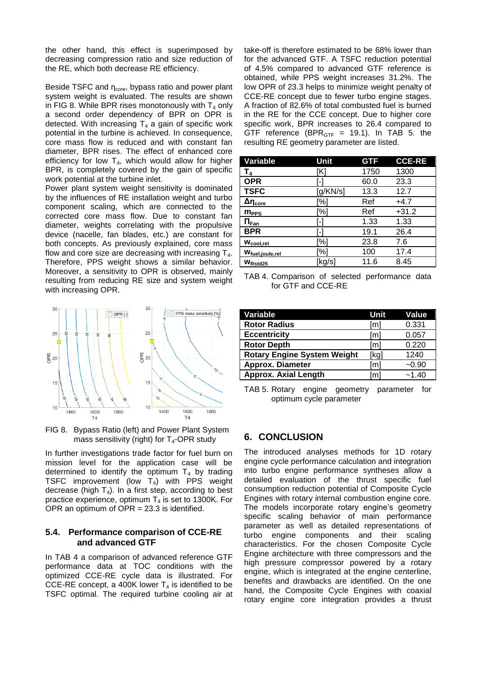the other hand, this effect is superimposed by decreasing compression ratio and size reduction of the RE, which both decrease RE efficiency.

Beside TSFC and  $\eta_{\text{core}}$ , bypass ratio and power plant system weight is evaluated. The results are shown in FIG 8. While BPR rises monotonously with  $T_4$  only a second order dependency of BPR on OPR is detected. With increasing  $T<sub>4</sub>$  a gain of specific work potential in the turbine is achieved. In consequence, core mass flow is reduced and with constant fan diameter, BPR rises. The effect of enhanced core efficiency for low  $T<sub>4</sub>$ , which would allow for higher BPR, is completely covered by the gain of specific work potential at the turbine inlet.

Power plant system weight sensitivity is dominated by the influences of RE installation weight and turbo component scaling, which are connected to the corrected core mass flow. Due to constant fan diameter, weights correlating with the propulsive device (nacelle, fan blades, etc.) are constant for both concepts. As previously explained, core mass flow and core size are decreasing with increasing  $T<sub>4</sub>$ . Therefore, PPS weight shows a similar behavior. Moreover, a sensitivity to OPR is observed, mainly resulting from reducing RE size and system weight with increasing OPR.



FIG 8. Bypass Ratio (left) and Power Plant System mass sensitivity (right) for  $T_4$ -OPR study

In further investigations trade factor for fuel burn on mission level for the application case will be determined to identify the optimum  $T_4$  by trading TSFC improvement (low  $T_4$ ) with PPS weight decrease (high  $T<sub>4</sub>$ ). In a first step, according to best practice experience, optimum  $T_4$  is set to 1300K. For OPR an optimum of OPR = 23.3 is identified.

### **5.4. Performance comparison of CCE-RE and advanced GTF**

In TAB 4 a comparison of advanced reference GTF performance data at TOC conditions with the optimized CCE-RE cycle data is illustrated. For CCE-RE concept, a 400K lower  $T<sub>4</sub>$  is identified to be TSFC optimal. The required turbine cooling air at

take-off is therefore estimated to be 68% lower than for the advanced GTF. A TSFC reduction potential of 4.5% compared to advanced GTF reference is obtained, while PPS weight increases 31.2%. The low OPR of 23.3 helps to minimize weight penalty of CCE-RE concept due to fewer turbo engine stages. A fraction of 82.6% of total combusted fuel is burned in the RE for the CCE concept. Due to higher core specific work, BPR increases to 26.4 compared to GTF reference (BPR $_{GTF}$  = 19.1). In TAB 5. the resulting RE geometry parameter are Iisted.

| Variable                    | Unit     | <b>GTF</b> | <b>CCE-RE</b> |
|-----------------------------|----------|------------|---------------|
| T4                          | [K]      | 1750       | 1300          |
| <b>OPR</b>                  | ۰        | 60.0       | 23.3          |
| <b>TSFC</b>                 | [g/KN/s] | 13.3       | 12.7          |
| Δη <sub>core</sub>          | [%]      | Ref        | $+4.7$        |
| <b>M<sub>PPS</sub></b>      | %1       | Ref        | $+31.2$       |
| $\Pi_{\texttt{Fa}n}$        | $(-1)$   | 1.33       | 1.33          |
| <b>BPR</b>                  | -        | 19.1       | 26.4          |
| W <sub>cool,rel</sub>       | %1       | 23.8       | 7.6           |
| W <sub>fuel,joule,rel</sub> | %]       | 100        | 17.4          |
| W <sub>Rstd25</sub>         | ˈkg/s]   | 11.6       | 8.45          |

TAB 4. Comparison of selected performance data for GTF and CCE-RE

| Variable                           | Unit | Value   |
|------------------------------------|------|---------|
| <b>Rotor Radius</b>                | [m]  | 0.331   |
| <b>Eccentricity</b>                | [m]  | 0.057   |
| <b>Rotor Depth</b>                 | [m]  | 0.220   |
| <b>Rotary Engine System Weight</b> | [kg] | 1240    |
| <b>Approx. Diameter</b>            | [m]  | $-0.90$ |
| <b>Approx. Axial Length</b>        | [m]  | $-1.40$ |

TAB 5. Rotary engine geometry parameter for optimum cycle parameter

### **6. CONCLUSION**

The introduced analyses methods for 1D rotary engine cycle performance calculation and integration into turbo engine performance syntheses allow a detailed evaluation of the thrust specific fuel consumption reduction potential of Composite Cycle Engines with rotary internal combustion engine core. The models incorporate rotary engine's geometry specific scaling behavior of main performance parameter as well as detailed representations of turbo engine components and their scaling characteristics. For the chosen Composite Cycle Engine architecture with three compressors and the high pressure compressor powered by a rotary engine, which is integrated at the engine centerline, benefits and drawbacks are identified. On the one hand, the Composite Cycle Engines with coaxial rotary engine core integration provides a thrust